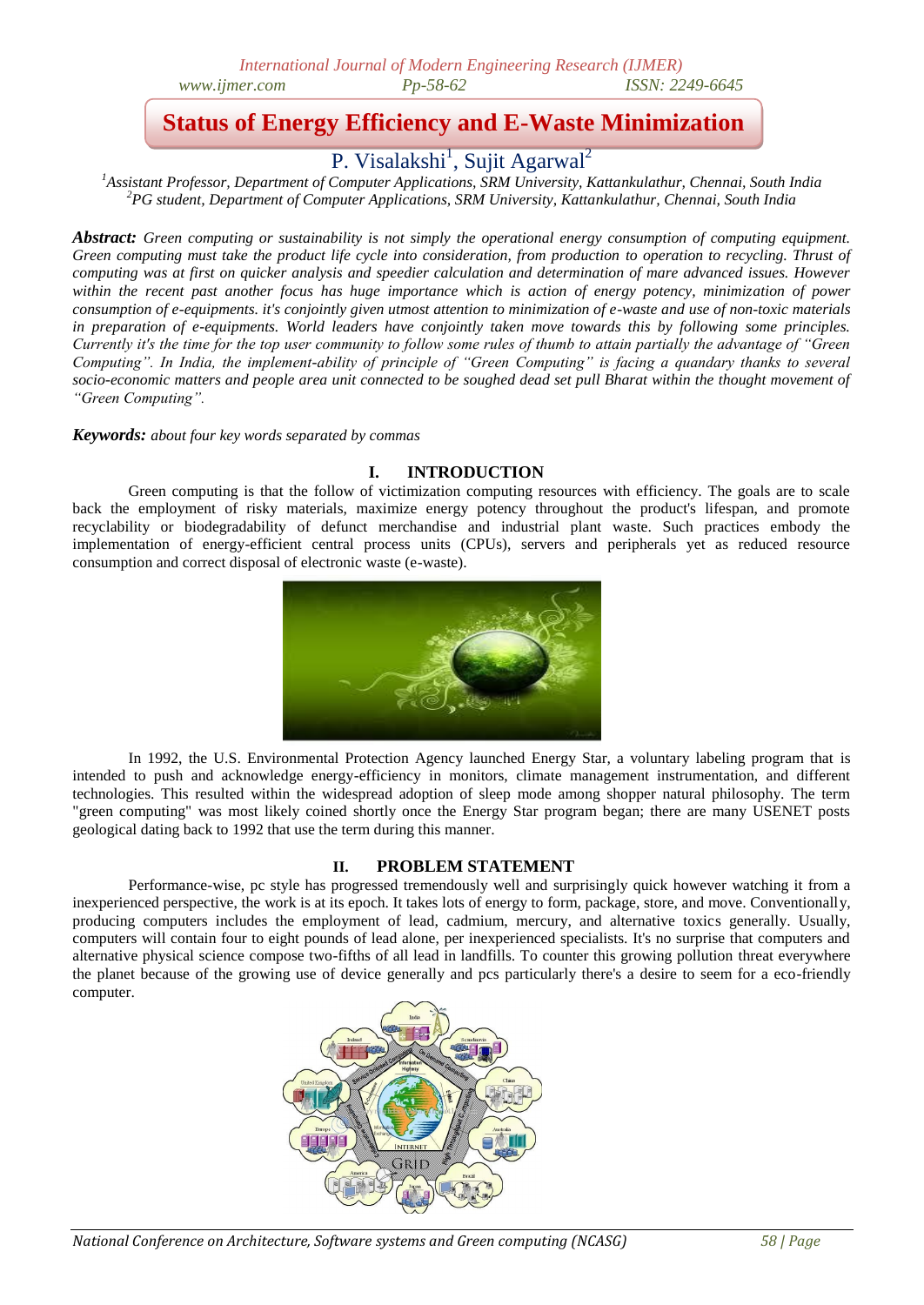# **Status of Energy Efficiency and E-Waste Minimization**

P. Visalakshi<sup>1</sup>, Sujit Agarwal<sup>2</sup>

*<sup>1</sup>Assistant Professor, Department of Computer Applications, SRM University, Kattankulathur, Chennai, South India <sup>2</sup>PG student, Department of Computer Applications, SRM University, Kattankulathur, Chennai, South India*

*Abstract: Green computing or sustainability is not simply the operational energy consumption of computing equipment. Green computing must take the product life cycle into consideration, from production to operation to recycling. Thrust of computing was at first on quicker analysis and speedier calculation and determination of mare advanced issues. However within the recent past another focus has huge importance which is action of energy potency, minimization of power consumption of e-equipments. it's conjointly given utmost attention to minimization of e-waste and use of non-toxic materials in preparation of e-equipments. World leaders have conjointly taken move towards this by following some principles. Currently it's the time for the top user community to follow some rules of thumb to attain partially the advantage of "Green Computing". In India, the implement-ability of principle of "Green Computing" is facing a quandary thanks to several socio-economic matters and people area unit connected to be soughed dead set pull Bharat within the thought movement of "Green Computing".*

*Keywords: about four key words separated by commas*

# **I. INTRODUCTION**

Green computing is that the follow of victimization computing resources with efficiency. The goals are to scale back the employment of risky materials, maximize energy potency throughout the product's lifespan, and promote recyclability or biodegradability of defunct merchandise and industrial plant waste. Such practices embody the implementation of energy-efficient central process units (CPUs), servers and peripherals yet as reduced resource consumption and correct disposal of electronic waste (e-waste).



In 1992, the U.S. Environmental Protection Agency launched Energy Star, a voluntary labeling program that is intended to push and acknowledge energy-efficiency in monitors, climate management instrumentation, and different technologies. This resulted within the widespread adoption of sleep mode among shopper natural philosophy. The term "green computing" was most likely coined shortly once the Energy Star program began; there are many USENET posts geological dating back to 1992 that use the term during this manner.

# **II. PROBLEM STATEMENT**

Performance-wise, pc style has progressed tremendously well and surprisingly quick however watching it from a inexperienced perspective, the work is at its epoch. It takes lots of energy to form, package, store, and move. Conventionally, producing computers includes the employment of lead, cadmium, mercury, and alternative toxics generally. Usually, computers will contain four to eight pounds of lead alone, per inexperienced specialists. It's no surprise that computers and alternative physical science compose two-fifths of all lead in landfills. To counter this growing pollution threat everywhere the planet because of the growing use of device generally and pcs particularly there's a desire to seem for a eco-friendly computer.

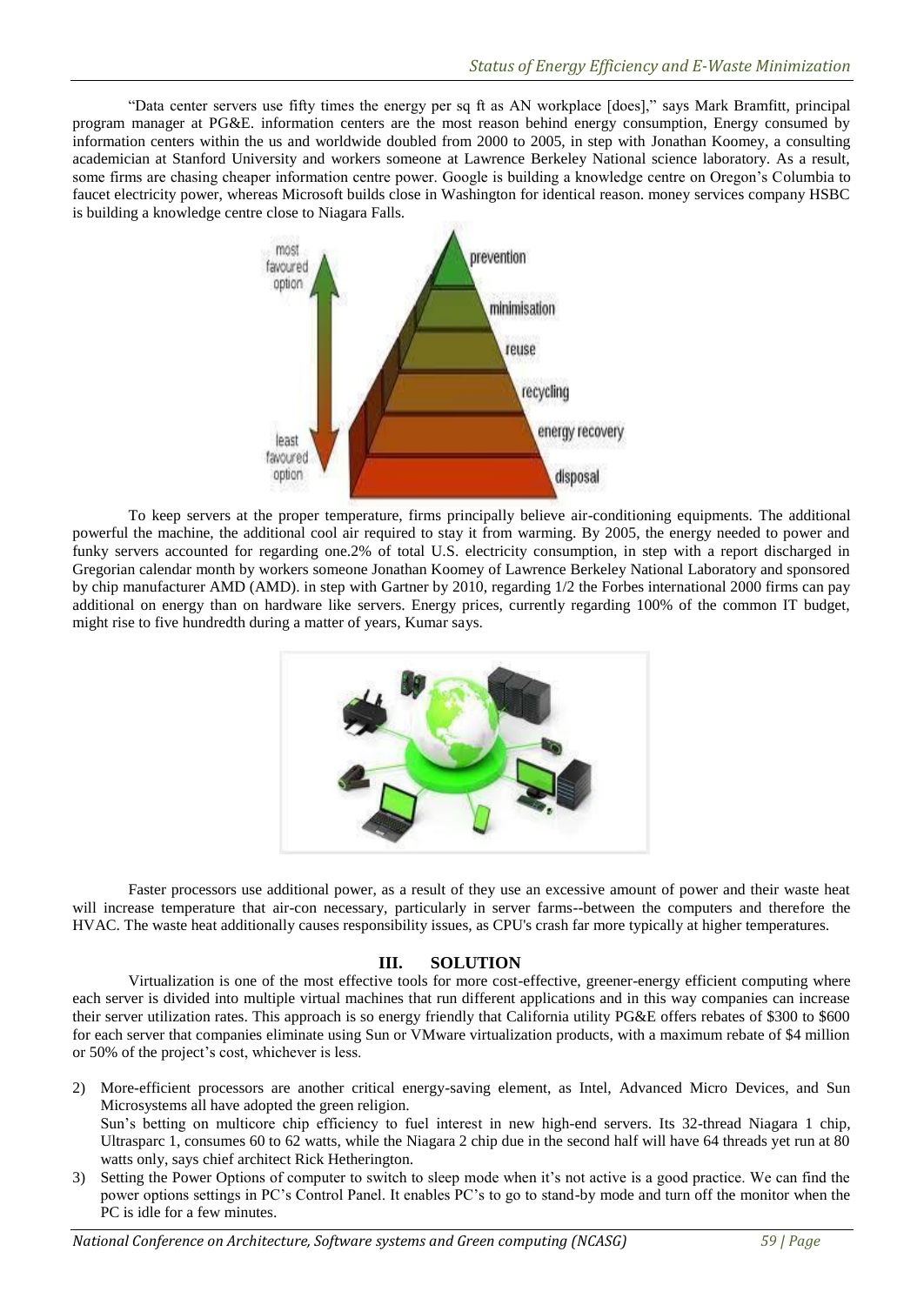"Data center servers use fifty times the energy per sq ft as AN workplace [does]," says Mark Bramfitt, principal program manager at PG&E. information centers are the most reason behind energy consumption, Energy consumed by information centers within the us and worldwide doubled from 2000 to 2005, in step with Jonathan Koomey, a consulting academician at Stanford University and workers someone at Lawrence Berkeley National science laboratory. As a result, some firms are chasing cheaper information centre power. Google is building a knowledge centre on Oregon's Columbia to faucet electricity power, whereas Microsoft builds close in Washington for identical reason. money services company HSBC is building a knowledge centre close to Niagara Falls.



To keep servers at the proper temperature, firms principally believe air-conditioning equipments. The additional powerful the machine, the additional cool air required to stay it from warming. By 2005, the energy needed to power and funky servers accounted for regarding one.2% of total U.S. electricity consumption, in step with a report discharged in Gregorian calendar month by workers someone Jonathan Koomey of Lawrence Berkeley National Laboratory and sponsored by chip manufacturer AMD (AMD). in step with Gartner by 2010, regarding 1/2 the Forbes international 2000 firms can pay additional on energy than on hardware like servers. Energy prices, currently regarding 100% of the common IT budget, might rise to five hundredth during a matter of years, Kumar says.



Faster processors use additional power, as a result of they use an excessive amount of power and their waste heat will increase temperature that air-con necessary, particularly in server farms--between the computers and therefore the HVAC. The waste heat additionally causes responsibility issues, as CPU's crash far more typically at higher temperatures.

# **III. SOLUTION**

Virtualization is one of the most effective tools for more cost-effective, greener-energy efficient computing where each server is divided into multiple virtual machines that run different applications and in this way companies can increase their server utilization rates. This approach is so energy friendly that California utility PG&E offers rebates of \$300 to \$600 for each server that companies eliminate using Sun or VMware virtualization products, with a maximum rebate of \$4 million or 50% of the project's cost, whichever is less.

2) More-efficient processors are another critical energy-saving element, as Intel, Advanced Micro Devices, and Sun Microsystems all have adopted the green religion. Sun's betting on multicore chip efficiency to fuel interest in new high-end servers. Its 32-thread Niagara 1 chip, Ultrasparc 1, consumes 60 to 62 watts, while the Niagara 2 chip due in the second half will have 64 threads yet run at 80 watts only, says chief architect Rick Hetherington.

3) Setting the Power Options of computer to switch to sleep mode when it's not active is a good practice. We can find the power options settings in PC's Control Panel. It enables PC's to go to stand-by mode and turn off the monitor when the PC is idle for a few minutes.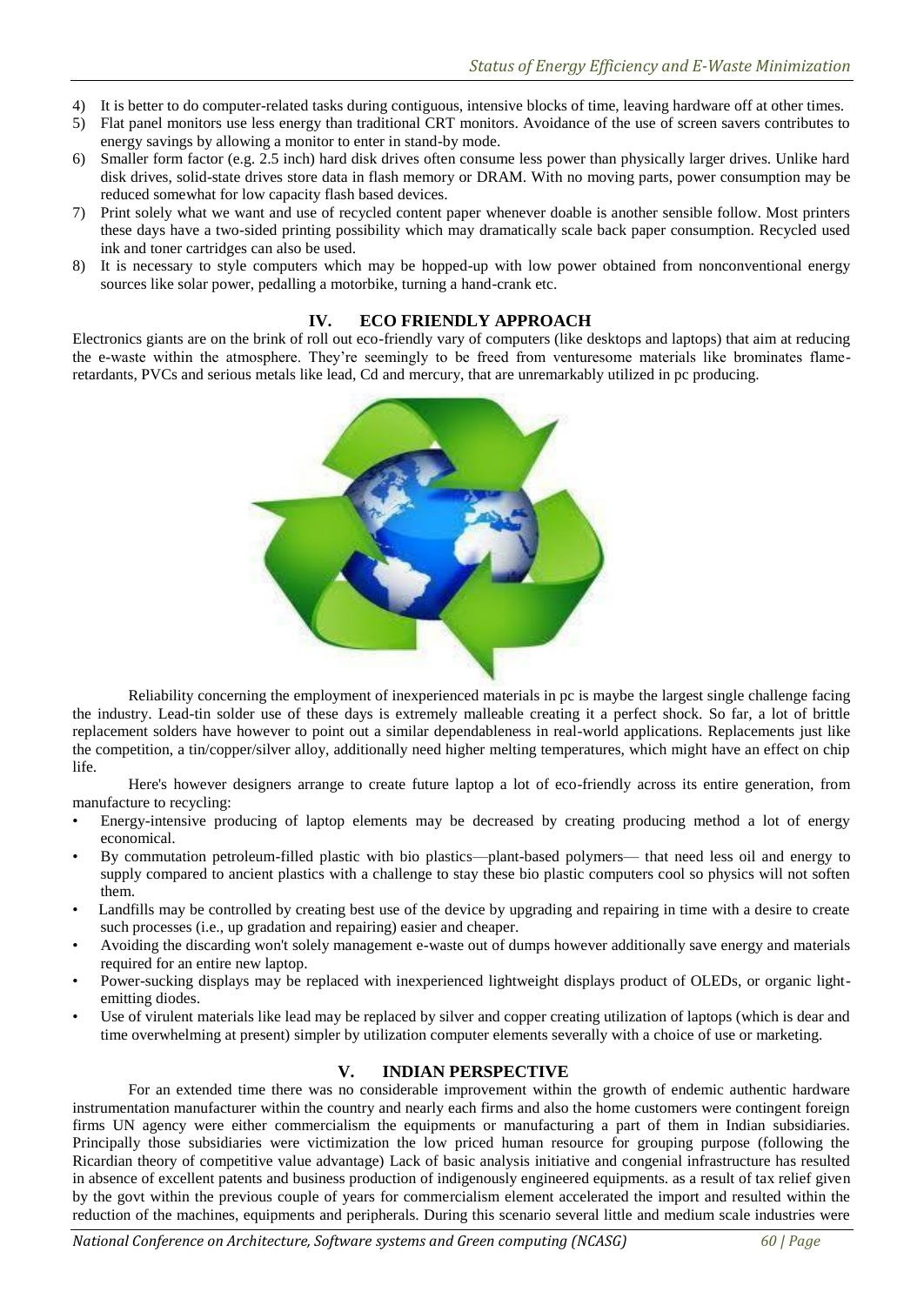- 4) It is better to do computer-related tasks during contiguous, intensive blocks of time, leaving hardware off at other times.
- 5) Flat panel monitors use less energy than traditional CRT monitors. Avoidance of the use of screen savers contributes to energy savings by allowing a monitor to enter in stand-by mode.
- 6) Smaller form factor (e.g. 2.5 inch) hard disk drives often consume less power than physically larger drives. Unlike hard disk drives, solid-state drives store data in flash memory or DRAM. With no moving parts, power consumption may be reduced somewhat for low capacity flash based devices.
- 7) Print solely what we want and use of recycled content paper whenever doable is another sensible follow. Most printers these days have a two-sided printing possibility which may dramatically scale back paper consumption. Recycled used ink and toner cartridges can also be used.
- 8) It is necessary to style computers which may be hopped-up with low power obtained from nonconventional energy sources like solar power, pedalling a motorbike, turning a hand-crank etc.

#### **IV. ECO FRIENDLY APPROACH**

Electronics giants are on the brink of roll out eco-friendly vary of computers (like desktops and laptops) that aim at reducing the e-waste within the atmosphere. They're seemingly to be freed from venturesome materials like brominates flameretardants, PVCs and serious metals like lead, Cd and mercury, that are unremarkably utilized in pc producing.



Reliability concerning the employment of inexperienced materials in pc is maybe the largest single challenge facing the industry. Lead-tin solder use of these days is extremely malleable creating it a perfect shock. So far, a lot of brittle replacement solders have however to point out a similar dependableness in real-world applications. Replacements just like the competition, a tin/copper/silver alloy, additionally need higher melting temperatures, which might have an effect on chip life.

Here's however designers arrange to create future laptop a lot of eco-friendly across its entire generation, from manufacture to recycling:

- Energy-intensive producing of laptop elements may be decreased by creating producing method a lot of energy economical.
- By commutation petroleum-filled plastic with bio plastics—plant-based polymers— that need less oil and energy to supply compared to ancient plastics with a challenge to stay these bio plastic computers cool so physics will not soften them.
- Landfills may be controlled by creating best use of the device by upgrading and repairing in time with a desire to create such processes (i.e., up gradation and repairing) easier and cheaper.
- Avoiding the discarding won't solely management e-waste out of dumps however additionally save energy and materials required for an entire new laptop.
- Power-sucking displays may be replaced with inexperienced lightweight displays product of OLEDs, or organic lightemitting diodes.
- Use of virulent materials like lead may be replaced by silver and copper creating utilization of laptops (which is dear and time overwhelming at present) simpler by utilization computer elements severally with a choice of use or marketing.

# **V. INDIAN PERSPECTIVE**

For an extended time there was no considerable improvement within the growth of endemic authentic hardware instrumentation manufacturer within the country and nearly each firms and also the home customers were contingent foreign firms UN agency were either commercialism the equipments or manufacturing a part of them in Indian subsidiaries. Principally those subsidiaries were victimization the low priced human resource for grouping purpose (following the Ricardian theory of competitive value advantage) Lack of basic analysis initiative and congenial infrastructure has resulted in absence of excellent patents and business production of indigenously engineered equipments. as a result of tax relief given by the govt within the previous couple of years for commercialism element accelerated the import and resulted within the reduction of the machines, equipments and peripherals. During this scenario several little and medium scale industries were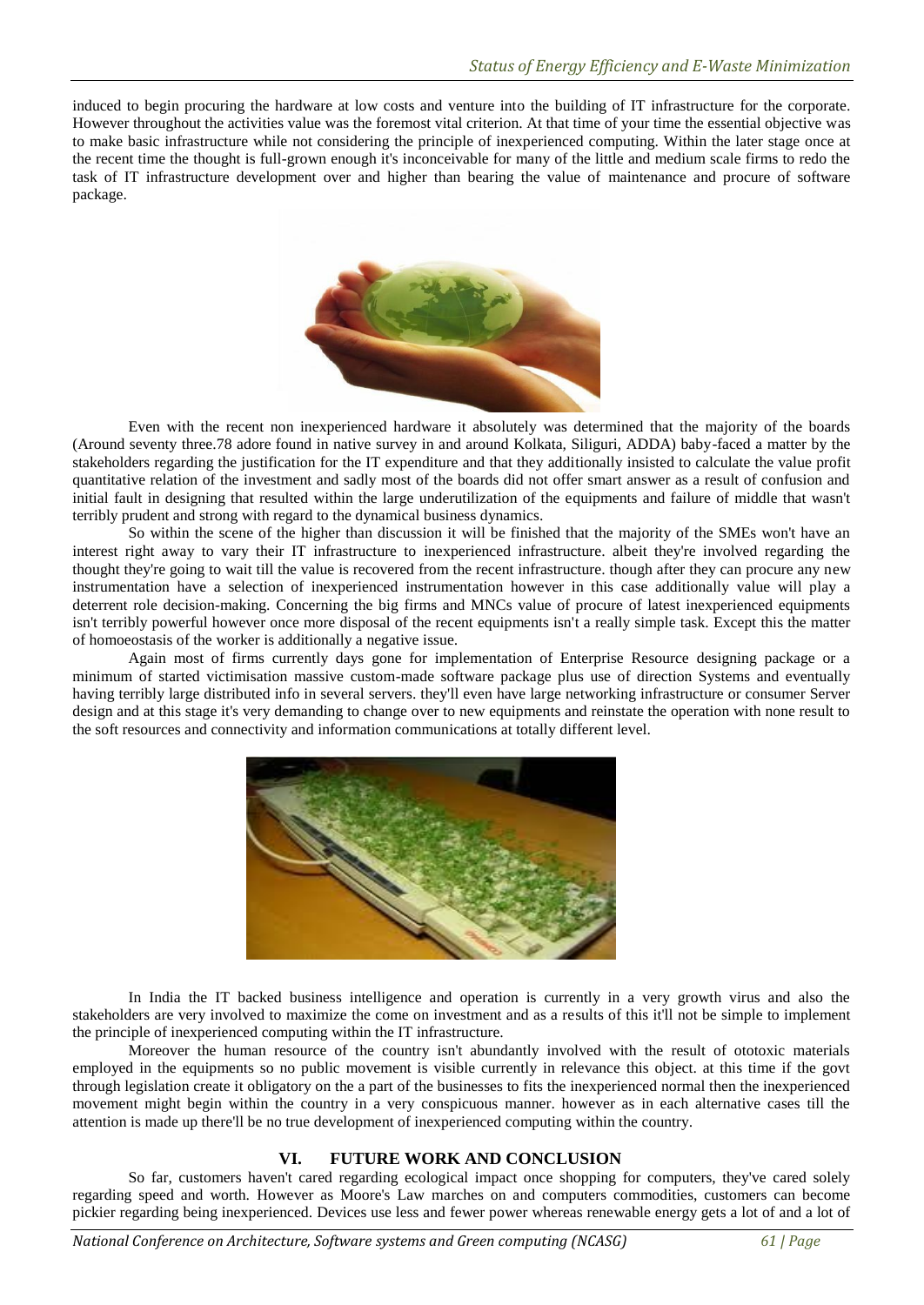induced to begin procuring the hardware at low costs and venture into the building of IT infrastructure for the corporate. However throughout the activities value was the foremost vital criterion. At that time of your time the essential objective was to make basic infrastructure while not considering the principle of inexperienced computing. Within the later stage once at the recent time the thought is full-grown enough it's inconceivable for many of the little and medium scale firms to redo the task of IT infrastructure development over and higher than bearing the value of maintenance and procure of software package.



Even with the recent non inexperienced hardware it absolutely was determined that the majority of the boards (Around seventy three.78 adore found in native survey in and around Kolkata, Siliguri, ADDA) baby-faced a matter by the stakeholders regarding the justification for the IT expenditure and that they additionally insisted to calculate the value profit quantitative relation of the investment and sadly most of the boards did not offer smart answer as a result of confusion and initial fault in designing that resulted within the large underutilization of the equipments and failure of middle that wasn't terribly prudent and strong with regard to the dynamical business dynamics.

So within the scene of the higher than discussion it will be finished that the majority of the SMEs won't have an interest right away to vary their IT infrastructure to inexperienced infrastructure. albeit they're involved regarding the thought they're going to wait till the value is recovered from the recent infrastructure. though after they can procure any new instrumentation have a selection of inexperienced instrumentation however in this case additionally value will play a deterrent role decision-making. Concerning the big firms and MNCs value of procure of latest inexperienced equipments isn't terribly powerful however once more disposal of the recent equipments isn't a really simple task. Except this the matter of homoeostasis of the worker is additionally a negative issue.

Again most of firms currently days gone for implementation of Enterprise Resource designing package or a minimum of started victimisation massive custom-made software package plus use of direction Systems and eventually having terribly large distributed info in several servers. they'll even have large networking infrastructure or consumer Server design and at this stage it's very demanding to change over to new equipments and reinstate the operation with none result to the soft resources and connectivity and information communications at totally different level.



In India the IT backed business intelligence and operation is currently in a very growth virus and also the stakeholders are very involved to maximize the come on investment and as a results of this it'll not be simple to implement the principle of inexperienced computing within the IT infrastructure.

Moreover the human resource of the country isn't abundantly involved with the result of ototoxic materials employed in the equipments so no public movement is visible currently in relevance this object. at this time if the govt through legislation create it obligatory on the a part of the businesses to fits the inexperienced normal then the inexperienced movement might begin within the country in a very conspicuous manner. however as in each alternative cases till the attention is made up there'll be no true development of inexperienced computing within the country.

# **VI. FUTURE WORK AND CONCLUSION**

So far, customers haven't cared regarding ecological impact once shopping for computers, they've cared solely regarding speed and worth. However as Moore's Law marches on and computers commodities, customers can become pickier regarding being inexperienced. Devices use less and fewer power whereas renewable energy gets a lot of and a lot of